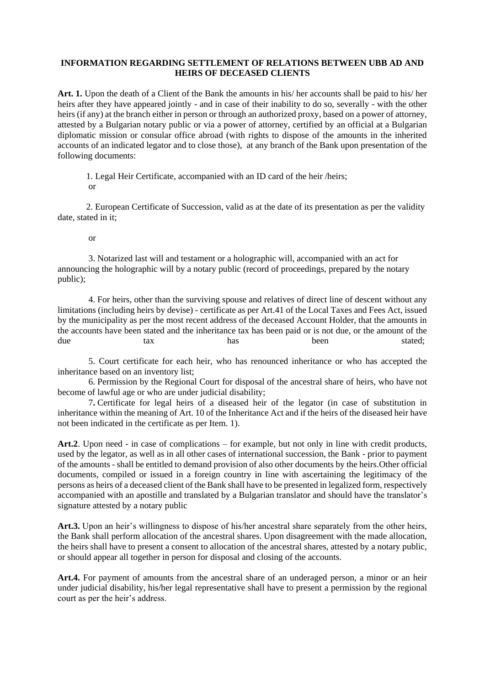## **INFORMATION REGARDING SETTLEMENT OF RELATIONS BETWEEN UBB AD AND HEIRS OF DECEASED CLIENTS**

**Art. 1.** Upon the death of a Client of the Bank the amounts in his/ her accounts shall be paid to his/ her heirs after they have appeared jointly - and in case of their inability to do so, severally - with the other heirs (if any) at the branch either in person or through an authorized proxy, based on a power of attorney, attested by a Bulgarian notary public or via a power of attorney, certified by an official at a Bulgarian diplomatic mission or consular office abroad (with rights to dispose of the amounts in the inherited accounts of an indicated legator and to close those), at any branch of the Bank upon presentation of the following documents:

1. Legal Heir Certificate, accompanied with an ID card of the heir /heirs; or

2. European Certificate of Succession, valid as at the date of its presentation as per the validity date, stated in it;

or

3. Notarized last will and testament or a holographic will, accompanied with an act for announcing the holographic will by a notary public (record of proceedings, prepared by the notary public);

4. For heirs, other than the surviving spouse and relatives of direct line of descent without any limitations (including heirs by devise) - certificate as per Art.41 of the Local Taxes and Fees Act, issued by the municipality as per the most recent address of the deceased Account Holder, that the amounts in the accounts have been stated and the inheritance tax has been paid or is not due, or the amount of the due tax has has been stated;

5. Court certificate for each heir, who has renounced inheritance or who has accepted the inheritance based on an inventory list;

6. Permission by the Regional Court for disposal of the ancestral share of heirs, who have not become of lawful age or who are under judicial disability;

7**.** Certificate for legal heirs of a diseased heir of the legator (in case of substitution in inheritance within the meaning of Art. 10 of the Inheritance Act and if the heirs of the diseased heir have not been indicated in the certificate as per Item. 1).

**Art.2**. Upon need - in case of complications – for example, but not only in line with credit products, used by the legator, as well as in all other cases of international succession, the Bank - prior to payment of the amounts - shall be entitled to demand provision of also other documents by the heirs.Other official documents, compiled or issued in a foreign country in line with ascertaining the legitimacy of the persons as heirs of a deceased client of the Bank shall have to be presented in legalized form, respectively accompanied with an apostille and translated by a Bulgarian translator and should have the translator's signature attested by a notary public

**Art.3.** Upon an heir's willingness to dispose of his/her ancestral share separately from the other heirs, the Bank shall perform allocation of the ancestral shares. Upon disagreement with the made allocation, the heirs shall have to present a consent to allocation of the ancestral shares, attested by a notary public, or should appear all together in person for disposal and closing of the accounts.

**Art.4.** For payment of amounts from the ancestral share of an underaged person, a minor or an heir under judicial disability, his/her legal representative shall have to present a permission by the regional court as per the heir's address.